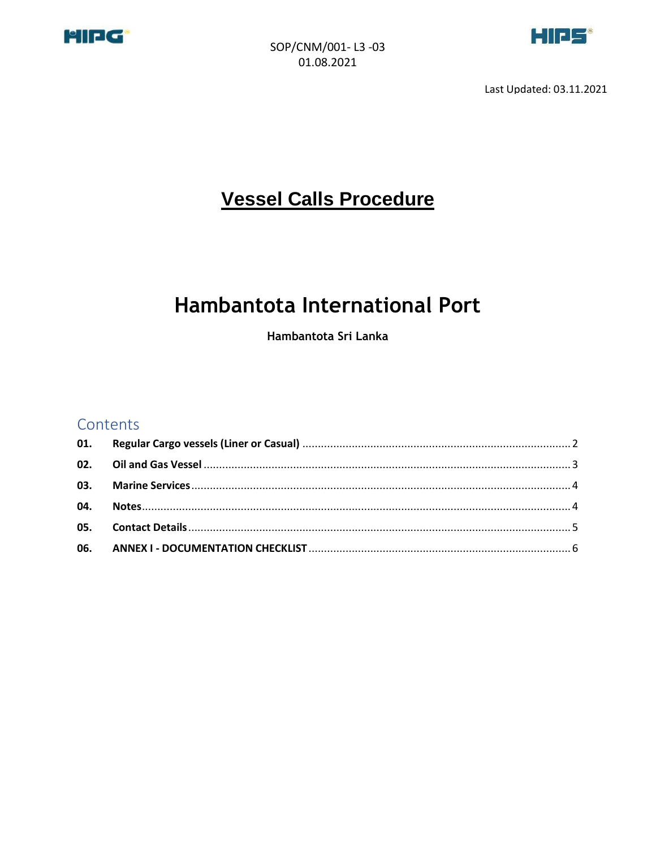



Last Updated: 03.11.2021

# **Vessel Calls Procedure**

# **Hambantota International Port**

Hambantota Sri Lanka

#### Contents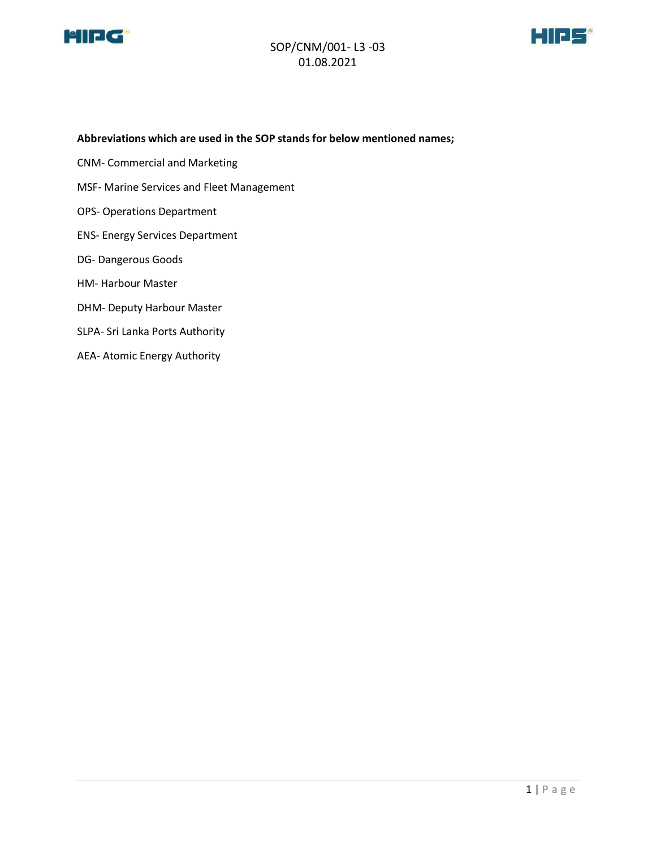

#### SOP/CNM/001- L3 -03 01.08.2021



#### **Abbreviations which are used in the SOP stands for below mentioned names;**

- CNM- Commercial and Marketing
- MSF- Marine Services and Fleet Management
- OPS- Operations Department
- ENS- Energy Services Department
- DG- Dangerous Goods
- HM- Harbour Master
- DHM- Deputy Harbour Master
- SLPA- Sri Lanka Ports Authority
- AEA- Atomic Energy Authority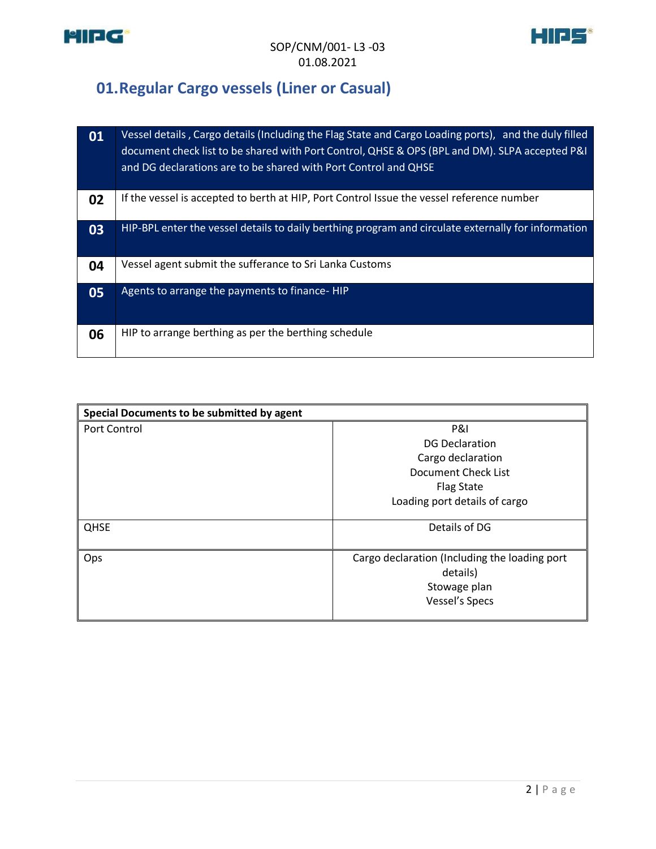



# <span id="page-2-0"></span>**01.Regular Cargo vessels (Liner or Casual)**

| 01 | Vessel details, Cargo details (Including the Flag State and Cargo Loading ports), and the duly filled<br>document check list to be shared with Port Control, QHSE & OPS (BPL and DM). SLPA accepted P&I<br>and DG declarations are to be shared with Port Control and QHSE |
|----|----------------------------------------------------------------------------------------------------------------------------------------------------------------------------------------------------------------------------------------------------------------------------|
| 02 | If the vessel is accepted to berth at HIP, Port Control Issue the vessel reference number                                                                                                                                                                                  |
| 03 | HIP-BPL enter the vessel details to daily berthing program and circulate externally for information                                                                                                                                                                        |
| 04 | Vessel agent submit the sufferance to Sri Lanka Customs                                                                                                                                                                                                                    |
| 05 | Agents to arrange the payments to finance-HIP                                                                                                                                                                                                                              |
| 06 | HIP to arrange berthing as per the berthing schedule                                                                                                                                                                                                                       |

| Special Documents to be submitted by agent |                                               |  |  |  |
|--------------------------------------------|-----------------------------------------------|--|--|--|
| Port Control                               | <b>P&amp;I</b>                                |  |  |  |
|                                            | <b>DG Declaration</b>                         |  |  |  |
|                                            | Cargo declaration                             |  |  |  |
|                                            | Document Check List                           |  |  |  |
|                                            | <b>Flag State</b>                             |  |  |  |
|                                            | Loading port details of cargo                 |  |  |  |
|                                            |                                               |  |  |  |
| <b>QHSE</b>                                | Details of DG                                 |  |  |  |
|                                            |                                               |  |  |  |
| Ops                                        | Cargo declaration (Including the loading port |  |  |  |
|                                            | details)                                      |  |  |  |
|                                            | Stowage plan                                  |  |  |  |
|                                            | <b>Vessel's Specs</b>                         |  |  |  |
|                                            |                                               |  |  |  |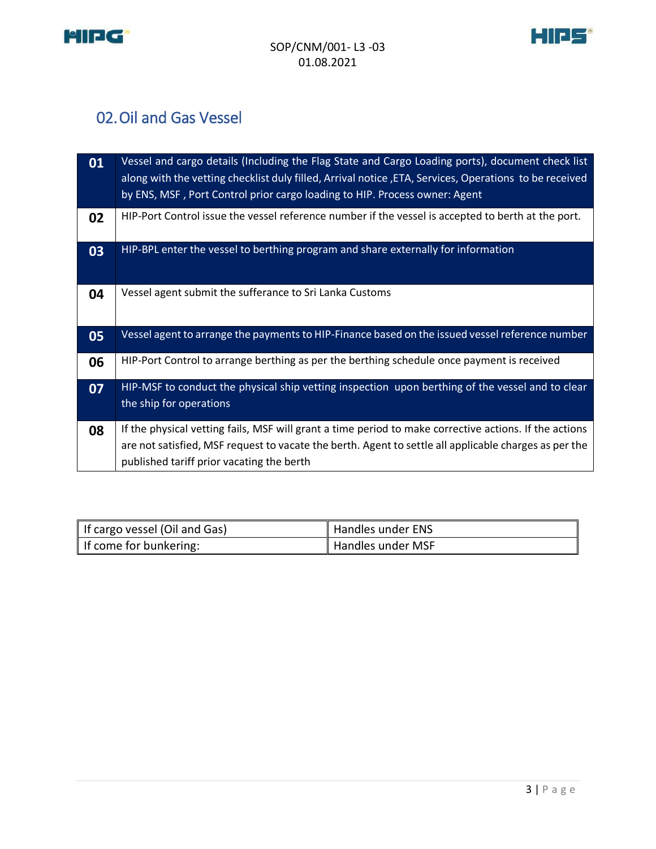



# <span id="page-3-0"></span>02.Oil and Gas Vessel

| 01 | Vessel and cargo details (Including the Flag State and Cargo Loading ports), document check list<br>along with the vetting checklist duly filled, Arrival notice, ETA, Services, Operations to be received<br>by ENS, MSF, Port Control prior cargo loading to HIP. Process owner: Agent |
|----|------------------------------------------------------------------------------------------------------------------------------------------------------------------------------------------------------------------------------------------------------------------------------------------|
| 02 | HIP-Port Control issue the vessel reference number if the vessel is accepted to berth at the port.                                                                                                                                                                                       |
| 03 | HIP-BPL enter the vessel to berthing program and share externally for information                                                                                                                                                                                                        |
| 04 | Vessel agent submit the sufferance to Sri Lanka Customs                                                                                                                                                                                                                                  |
| 05 | Vessel agent to arrange the payments to HIP-Finance based on the issued vessel reference number                                                                                                                                                                                          |
| 06 | HIP-Port Control to arrange berthing as per the berthing schedule once payment is received                                                                                                                                                                                               |
| 07 | HIP-MSF to conduct the physical ship vetting inspection upon berthing of the vessel and to clear<br>the ship for operations                                                                                                                                                              |
| 08 | If the physical vetting fails, MSF will grant a time period to make corrective actions. If the actions<br>are not satisfied, MSF request to vacate the berth. Agent to settle all applicable charges as per the<br>published tariff prior vacating the berth                             |

| If cargo vessel (Oil and Gas) | Handles under ENS |
|-------------------------------|-------------------|
| If come for bunkering:        | Handles under MSF |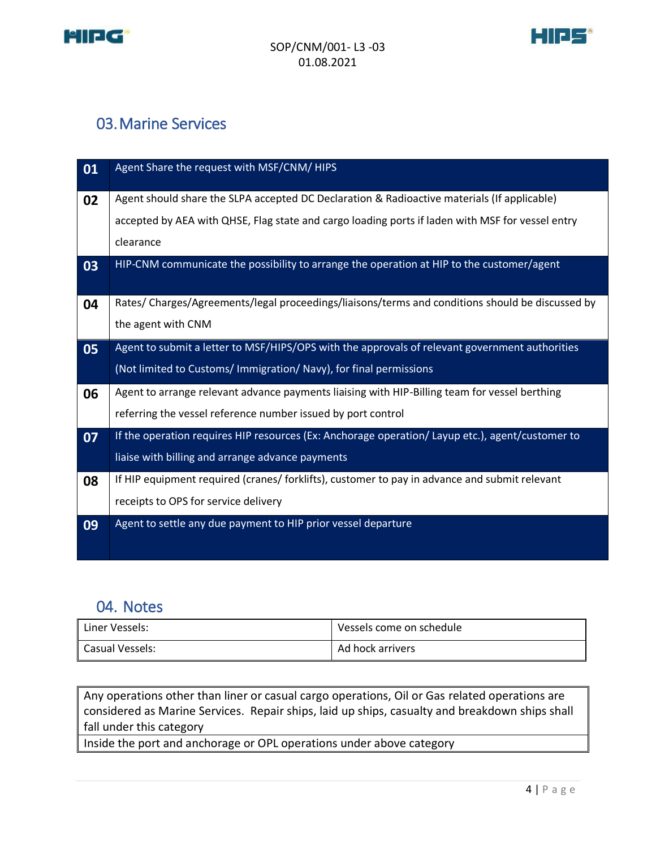



## <span id="page-4-0"></span>03.Marine Services

| 01 | Agent Share the request with MSF/CNM/ HIPS                                                       |
|----|--------------------------------------------------------------------------------------------------|
| 02 | Agent should share the SLPA accepted DC Declaration & Radioactive materials (If applicable)      |
|    | accepted by AEA with QHSE, Flag state and cargo loading ports if laden with MSF for vessel entry |
|    | clearance                                                                                        |
| 03 | HIP-CNM communicate the possibility to arrange the operation at HIP to the customer/agent        |
| 04 | Rates/Charges/Agreements/legal proceedings/liaisons/terms and conditions should be discussed by  |
|    | the agent with CNM                                                                               |
| 05 | Agent to submit a letter to MSF/HIPS/OPS with the approvals of relevant government authorities   |
|    | (Not limited to Customs/ Immigration/ Navy), for final permissions                               |
| 06 | Agent to arrange relevant advance payments liaising with HIP-Billing team for vessel berthing    |
|    | referring the vessel reference number issued by port control                                     |
| 07 | If the operation requires HIP resources (Ex: Anchorage operation/ Layup etc.), agent/customer to |
|    | liaise with billing and arrange advance payments                                                 |
| 08 | If HIP equipment required (cranes/ forklifts), customer to pay in advance and submit relevant    |
|    | receipts to OPS for service delivery                                                             |
| 09 | Agent to settle any due payment to HIP prior vessel departure                                    |
|    |                                                                                                  |

#### <span id="page-4-1"></span>04. Notes

| Liner Vessels:  | Vessels come on schedule |
|-----------------|--------------------------|
| Casual Vessels: | Ad hock arrivers         |

Any operations other than liner or casual cargo operations, Oil or Gas related operations are considered as Marine Services. Repair ships, laid up ships, casualty and breakdown ships shall fall under this category

Inside the port and anchorage or OPL operations under above category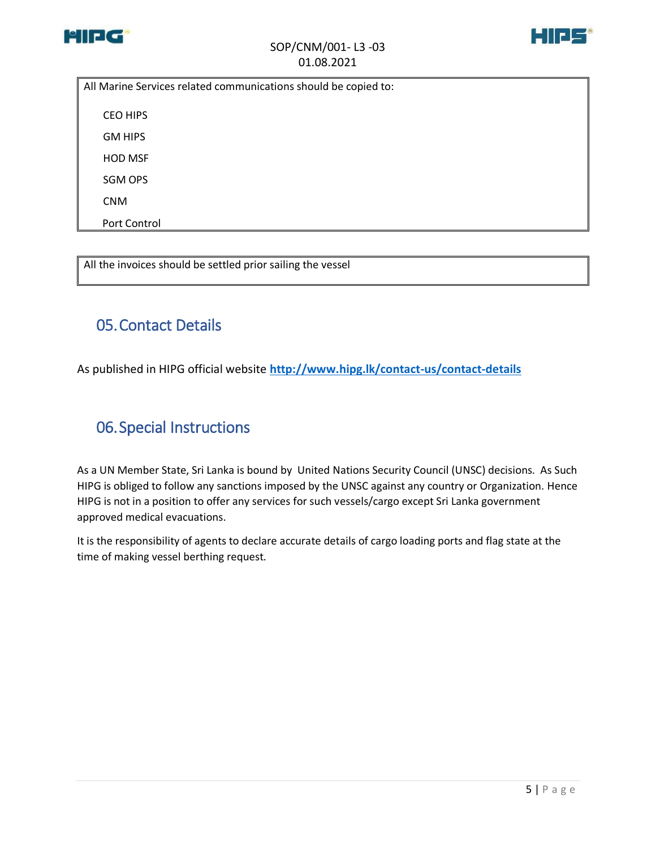



All Marine Services related communications should be copied to:

CEO HIPS

GM HIPS

HOD MSF

SGM OPS

CNM

Port Control

All the invoices should be settled prior sailing the vessel

#### <span id="page-5-0"></span>05.Contact Details

As published in HIPG official website **<http://www.hipg.lk/contact-us/contact-details>**

## 06.Special Instructions

As a UN Member State, Sri Lanka is bound by United Nations Security Council (UNSC) decisions. As Such HIPG is obliged to follow any sanctions imposed by the UNSC against any country or Organization. Hence HIPG is not in a position to offer any services for such vessels/cargo except Sri Lanka government approved medical evacuations.

It is the responsibility of agents to declare accurate details of cargo loading ports and flag state at the time of making vessel berthing request.